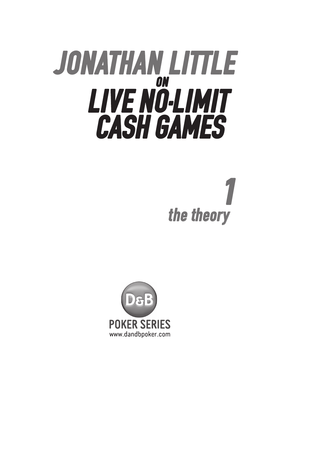# JONATHAN LITTLE ON LIVE NO-LIMIT CASH GAMES

# the theory

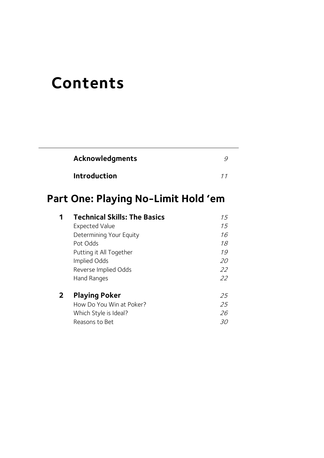## **Contents**

| Acknowledgments     |  |
|---------------------|--|
| <b>Introduction</b> |  |

## **Part One: Playing No-Limit Hold 'em**

|              | <b>Technical Skills: The Basics</b> | 15 |
|--------------|-------------------------------------|----|
|              | <b>Expected Value</b>               | 15 |
|              | Determining Your Equity             | 16 |
|              | Pot Odds                            | 18 |
|              | Putting it All Together             | 19 |
|              | Implied Odds                        | 20 |
|              | Reverse Implied Odds                | 22 |
|              | Hand Ranges                         | 22 |
| $\mathbf{2}$ | <b>Playing Poker</b>                | 25 |
|              | How Do You Win at Poker?            | 25 |
|              | Which Style is Ideal?               | 26 |
|              | Reasons to Bet                      | 30 |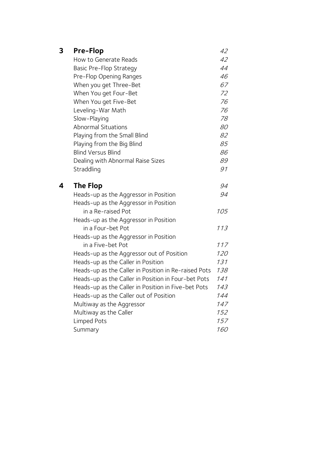| 3 | <b>Pre-Flop</b>                                      | 42         |
|---|------------------------------------------------------|------------|
|   | How to Generate Reads                                | 42         |
|   | <b>Basic Pre-Flop Strategy</b>                       | 44         |
|   | Pre-Flop Opening Ranges                              | 46         |
|   | When you get Three-Bet                               | 67         |
|   | When You get Four-Bet                                | 72         |
|   | When You get Five-Bet                                | 76         |
|   | Leveling-War Math                                    | 76         |
|   | Slow-Playing                                         | 78         |
|   | <b>Abnormal Situations</b>                           | 80         |
|   | Playing from the Small Blind                         | 82         |
|   | Playing from the Big Blind                           | 85         |
|   | <b>Blind Versus Blind</b>                            | 86         |
|   | Dealing with Abnormal Raise Sizes                    | 89         |
|   | Straddling                                           | 91         |
| 4 | The Flop                                             | 94         |
|   | Heads-up as the Aggressor in Position                | 94         |
|   | Heads-up as the Aggressor in Position                |            |
|   | in a Re-raised Pot                                   | 105        |
|   | Heads-up as the Aggressor in Position                |            |
|   | in a Four-bet Pot                                    | 113        |
|   | Heads-up as the Aggressor in Position                |            |
|   | in a Five-bet Pot                                    | 117        |
|   | Heads-up as the Aggressor out of Position            | 120        |
|   | Heads-up as the Caller in Position                   | 131        |
|   | Heads-up as the Caller in Position in Re-raised Pots | 138        |
|   | Heads-up as the Caller in Position in Four-bet Pots  | 141        |
|   | Heads-up as the Caller in Position in Five-bet Pots  | 143        |
|   | Heads-up as the Caller out of Position               | 144        |
|   | Multiway as the Aggressor                            | 147        |
|   | Multiway as the Caller                               | 152        |
|   | Limped Pots                                          | 157        |
|   | Summary                                              | <i>160</i> |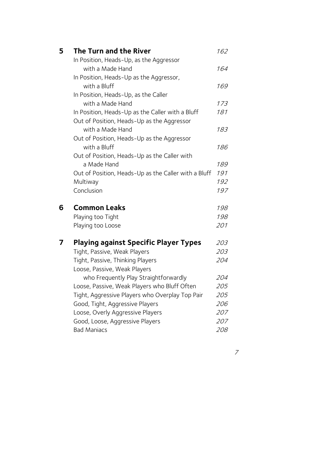| 5 | The Turn and the River                                                             | 162        |
|---|------------------------------------------------------------------------------------|------------|
|   | In Position, Heads-Up, as the Aggressor                                            |            |
|   | with a Made Hand                                                                   | 164        |
|   | In Position, Heads-Up as the Aggressor,                                            |            |
|   | with a Bluff                                                                       | 169        |
|   | In Position, Heads-Up, as the Caller                                               |            |
|   | with a Made Hand                                                                   | 173        |
|   | In Position, Heads-Up as the Caller with a Bluff                                   | 181        |
|   | Out of Position, Heads-Up as the Aggressor                                         |            |
|   | with a Made Hand                                                                   | 183        |
|   | Out of Position, Heads-Up as the Aggressor                                         |            |
|   | with a Bluff                                                                       | 186        |
|   | Out of Position, Heads-Up as the Caller with                                       |            |
|   | a Made Hand                                                                        | 189        |
|   | Out of Position, Heads-Up as the Caller with a Bluff                               | 191        |
|   | Multiway                                                                           | 192        |
|   | Conclusion                                                                         | 197        |
| 6 | <b>Common Leaks</b>                                                                | 198        |
|   | Playing too Tight                                                                  | 198        |
|   | Playing too Loose                                                                  | 201        |
| 7 | <b>Playing against Specific Player Types</b>                                       | 203        |
|   |                                                                                    |            |
|   | Tight, Passive, Weak Players                                                       | 203        |
|   |                                                                                    | 204        |
|   | Tight, Passive, Thinking Players                                                   |            |
|   | Loose, Passive, Weak Players                                                       | 204        |
|   | who Frequently Play Straightforwardly                                              |            |
|   | Loose, Passive, Weak Players who Bluff Often                                       | 205<br>205 |
|   | Tight, Aggressive Players who Overplay Top Pair<br>Good, Tight, Aggressive Players | 206        |
|   | Loose, Overly Aggressive Players                                                   | 207        |
|   | Good, Loose, Aggressive Players                                                    | 207        |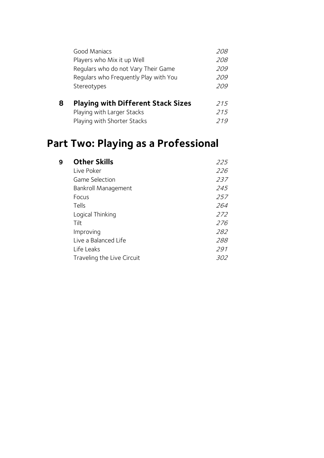| 8 | <b>Playing with Different Stack Sizes</b> | 215        |
|---|-------------------------------------------|------------|
|   | Stereotypes                               | 209        |
|   | Regulars who Frequently Play with You     | 209        |
|   | Regulars who do not Vary Their Game       | 209        |
|   | Players who Mix it up Well                | 208        |
|   | Good Maniacs                              | <i>208</i> |
|   |                                           |            |

| Playing with Larger Stacks  | 215 |
|-----------------------------|-----|
| Playing with Shorter Stacks | 219 |

## **Part Two: Playing as a Professional**

| <b>Other Skills</b>        | 225 |
|----------------------------|-----|
| Live Poker                 | 226 |
| Game Selection             | 237 |
| Bankroll Management        | 245 |
| Focus                      | 257 |
| Tells                      | 264 |
| Logical Thinking           | 272 |
| Tilt                       | 276 |
| Improving                  | 282 |
| Live a Balanced Life       | 288 |
| Life Leaks                 | 291 |
| Traveling the Live Circuit | 302 |
|                            |     |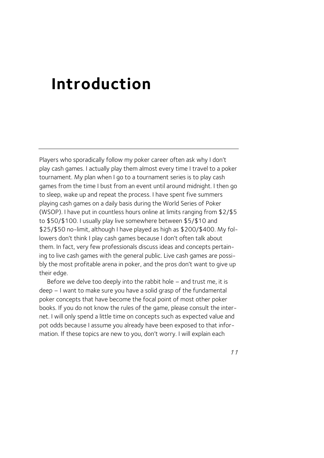## **Introduction**

Players who sporadically follow my poker career often ask why I don't play cash games. I actually play them almost every time I travel to a poker tournament. My plan when I go to a tournament series is to play cash games from the time I bust from an event until around midnight. I then go to sleep, wake up and repeat the process. I have spent five summers playing cash games on a daily basis during the World Series of Poker (WSOP). I have put in countless hours online at limits ranging from \$2/\$5 to \$50/\$100. I usually play live somewhere between \$5/\$10 and \$25/\$50 no-limit, although I have played as high as \$200/\$400. My followers don't think I play cash games because I don't often talk about them. In fact, very few professionals discuss ideas and concepts pertaining to live cash games with the general public. Live cash games are possibly the most profitable arena in poker, and the pros don't want to give up their edge.

Before we delve too deeply into the rabbit hole – and trust me, it is deep – I want to make sure you have a solid grasp of the fundamental poker concepts that have become the focal point of most other poker books. If you do not know the rules of the game, please consult the internet. I will only spend a little time on concepts such as expected value and pot odds because I assume you already have been exposed to that information. If these topics are new to you, don't worry. I will explain each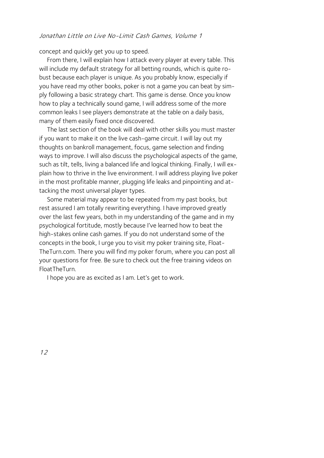#### Jonathan Little on Live No-Limit Cash Games, Volume 1

concept and quickly get you up to speed.

From there, I will explain how I attack every player at every table. This will include my default strategy for all betting rounds, which is quite robust because each player is unique. As you probably know, especially if you have read my other books, poker is not a game you can beat by simply following a basic strategy chart. This game is dense. Once you know how to play a technically sound game, I will address some of the more common leaks I see players demonstrate at the table on a daily basis, many of them easily fixed once discovered.

The last section of the book will deal with other skills you must master if you want to make it on the live cash-game circuit. I will lay out my thoughts on bankroll management, focus, game selection and finding ways to improve. I will also discuss the psychological aspects of the game, such as tilt, tells, living a balanced life and logical thinking. Finally, I will explain how to thrive in the live environment. I will address playing live poker in the most profitable manner, plugging life leaks and pinpointing and attacking the most universal player types.

Some material may appear to be repeated from my past books, but rest assured I am totally rewriting everything. I have improved greatly over the last few years, both in my understanding of the game and in my psychological fortitude, mostly because I've learned how to beat the high-stakes online cash games. If you do not understand some of the concepts in the book, I urge you to visit my poker training site, Float-TheTurn.com. There you will find my poker forum, where you can post all your questions for free. Be sure to check out the free training videos on FloatTheTurn.

I hope you are as excited as I am. Let's get to work.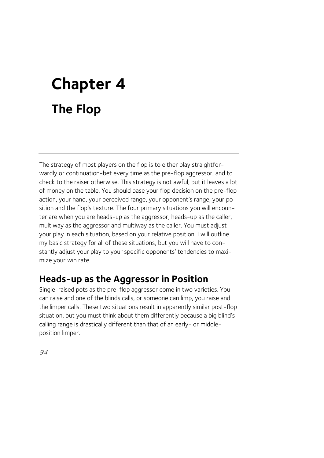# **Chapter 4 The Flop**

The strategy of most players on the flop is to either play straightforwardly or continuation-bet every time as the pre-flop aggressor, and to check to the raiser otherwise. This strategy is not awful, but it leaves a lot of money on the table. You should base your flop decision on the pre-flop action, your hand, your perceived range, your opponent's range, your position and the flop's texture. The four primary situations you will encounter are when you are heads-up as the aggressor, heads-up as the caller, multiway as the aggressor and multiway as the caller. You must adjust your play in each situation, based on your relative position. I will outline my basic strategy for all of these situations, but you will have to constantly adjust your play to your specific opponents' tendencies to maximize your win rate.

### **Heads-up as the Aggressor in Position**

Single-raised pots as the pre-flop aggressor come in two varieties. You can raise and one of the blinds calls, or someone can limp, you raise and the limper calls. These two situations result in apparently similar post-flop situation, but you must think about them differently because a big blind's calling range is drastically different than that of an early- or middleposition limper.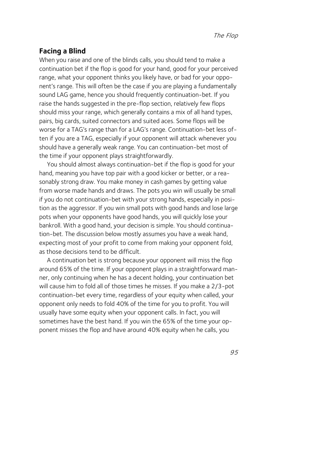#### **Facing a Blind**

When you raise and one of the blinds calls, you should tend to make a continuation bet if the flop is good for your hand, good for your perceived range, what your opponent thinks you likely have, or bad for your opponent's range. This will often be the case if you are playing a fundamentally sound LAG game, hence you should frequently continuation-bet. If you raise the hands suggested in the pre-flop section, relatively few flops should miss your range, which generally contains a mix of all hand types, pairs, big cards, suited connectors and suited aces. Some flops will be worse for a TAG's range than for a LAG's range. Continuation-bet less often if you are a TAG, especially if your opponent will attack whenever you should have a generally weak range. You can continuation-bet most of the time if your opponent plays straightforwardly.

You should almost always continuation-bet if the flop is good for your hand, meaning you have top pair with a good kicker or better, or a reasonably strong draw. You make money in cash games by getting value from worse made hands and draws. The pots you win will usually be small if you do not continuation-bet with your strong hands, especially in position as the aggressor. If you win small pots with good hands and lose large pots when your opponents have good hands, you will quickly lose your bankroll. With a good hand, your decision is simple. You should continuation-bet. The discussion below mostly assumes you have a weak hand, expecting most of your profit to come from making your opponent fold, as those decisions tend to be difficult.

A continuation bet is strong because your opponent will miss the flop around 65% of the time. If your opponent plays in a straightforward manner, only continuing when he has a decent holding, your continuation bet will cause him to fold all of those times he misses. If you make a 2/3-pot continuation-bet every time, regardless of your equity when called, your opponent only needs to fold 40% of the time for you to profit. You will usually have some equity when your opponent calls. In fact, you will sometimes have the best hand. If you win the 65% of the time your opponent misses the flop and have around 40% equity when he calls, you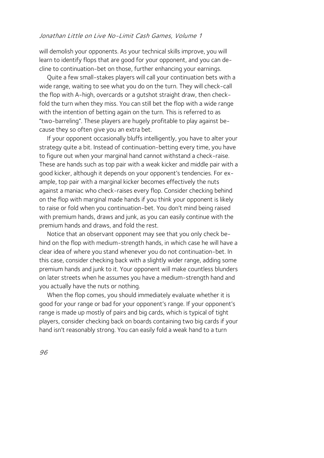will demolish your opponents. As your technical skills improve, you will learn to identify flops that are good for your opponent, and you can decline to continuation-bet on those, further enhancing your earnings.

Quite a few small-stakes players will call your continuation bets with a wide range, waiting to see what you do on the turn. They will check-call the flop with A-high, overcards or a gutshot straight draw, then checkfold the turn when they miss. You can still bet the flop with a wide range with the intention of betting again on the turn. This is referred to as "two-barreling". These players are hugely profitable to play against because they so often give you an extra bet.

If your opponent occasionally bluffs intelligently, you have to alter your strategy quite a bit. Instead of continuation-betting every time, you have to figure out when your marginal hand cannot withstand a check-raise. These are hands such as top pair with a weak kicker and middle pair with a good kicker, although it depends on your opponent's tendencies. For example, top pair with a marginal kicker becomes effectively the nuts against a maniac who check-raises every flop. Consider checking behind on the flop with marginal made hands if you think your opponent is likely to raise or fold when you continuation-bet. You don't mind being raised with premium hands, draws and junk, as you can easily continue with the premium hands and draws, and fold the rest.

Notice that an observant opponent may see that you only check behind on the flop with medium-strength hands, in which case he will have a clear idea of where you stand whenever you do not continuation-bet. In this case, consider checking back with a slightly wider range, adding some premium hands and junk to it. Your opponent will make countless blunders on later streets when he assumes you have a medium-strength hand and you actually have the nuts or nothing.

When the flop comes, you should immediately evaluate whether it is good for your range or bad for your opponent's range. If your opponent's range is made up mostly of pairs and big cards, which is typical of tight players, consider checking back on boards containing two big cards if your hand isn't reasonably strong. You can easily fold a weak hand to a turn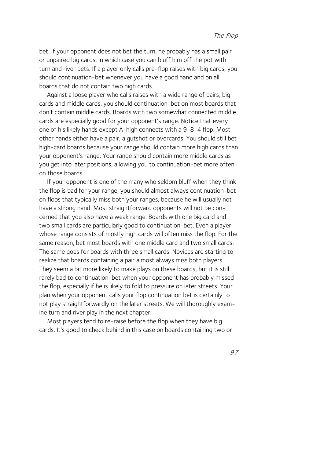bet. If your opponent does not bet the turn, he probably has a small pair or unpaired big cards, in which case you can bluff him off the pot with turn and river bets. If a player only calls pre-flop raises with big cards, you should continuation-bet whenever you have a good hand and on all boards that do not contain two high cards.

Against a loose player who calls raises with a wide range of pairs, big cards and middle cards, you should continuation-bet on most boards that don't contain middle cards. Boards with two somewhat connected middle cards are especially good for your opponent's range. Notice that every one of his likely hands except A-high connects with a 9-8-4 flop. Most other hands either have a pair, a gutshot or overcards. You should still bet high-card boards because your range should contain more high cards than your opponent's range. Your range should contain more middle cards as you get into later positions, allowing you to continuation-bet more often on those boards.

If your opponent is one of the many who seldom bluff when they think the flop is bad for your range, you should almost always continuation-bet on flops that typically miss both your ranges, because he will usually not have a strong hand. Most straightforward opponents will not be concerned that you also have a weak range. Boards with one big card and two small cards are particularly good to continuation-bet. Even a player whose range consists of mostly high cards will often miss the flop. For the same reason, bet most boards with one middle card and two small cards. The same goes for boards with three small cards. Novices are starting to realize that boards containing a pair almost always miss both players. They seem a bit more likely to make plays on these boards, but it is still rarely bad to continuation-bet when your opponent has probably missed the flop, especially if he is likely to fold to pressure on later streets. Your plan when your opponent calls your flop continuation bet is certainly to not play straightforwardly on the later streets. We will thoroughly examine turn and river play in the next chapter.

Most players tend to re-raise before the flop when they have big cards. It's good to check behind in this case on boards containing two or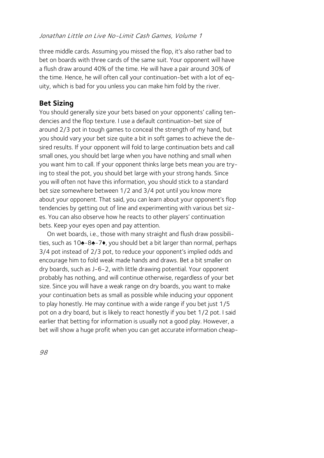three middle cards. Assuming you missed the flop, it's also rather bad to bet on boards with three cards of the same suit. Your opponent will have a flush draw around 40% of the time. He will have a pair around 30% of the time. Hence, he will often call your continuation-bet with a lot of equity, which is bad for you unless you can make him fold by the river.  $\overline{\phantom{a}}$ 

#### **Bet Sizing**

You should generally size your bets based on your opponents' calling tendencies and the flop texture. I use a default continuation-bet size of around 2/3 pot in tough games to conceal the strength of my hand, but you should vary your bet size quite a bit in soft games to achieve the desired results. If your opponent will fold to large continuation bets and call small ones, you should bet large when you have nothing and small when you want him to call. If your opponent thinks large bets mean you are trying to steal the pot, you should bet large with your strong hands. Since you will often not have this information, you should stick to a standard bet size somewhere between 1/2 and 3/4 pot until you know more about your opponent. That said, you can learn about your opponent's flop tendencies by getting out of line and experimenting with various bet sizes. You can also observe how he reacts to other players' continuation bets. Keep your eyes open and pay attention.

On wet boards, i.e., those with many straight and flush draw possibilities, such as 10♠-8♠-7♦, you should bet a bit larger than normal, perhaps 3/4 pot instead of 2/3 pot, to reduce your opponent's implied odds and encourage him to fold weak made hands and draws. Bet a bit smaller on dry boards, such as J-6-2, with little drawing potential. Your opponent probably has nothing, and will continue otherwise, regardless of your bet size. Since you will have a weak range on dry boards, you want to make your continuation bets as small as possible while inducing your opponent to play honestly. He may continue with a wide range if you bet just 1/5 pot on a dry board, but is likely to react honestly if you bet 1/2 pot. I said earlier that betting for information is usually not a good play. However, a bet will show a huge profit when you can get accurate information cheap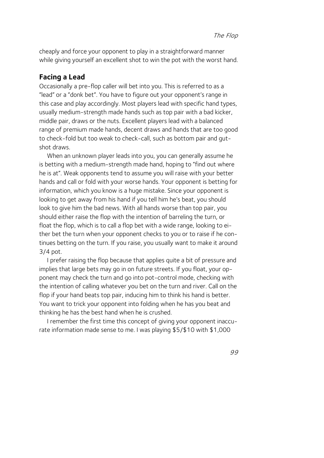cheaply and force your opponent to play in a straightforward manner while giving yourself an excellent shot to win the pot with the worst hand.

#### **Facing a Lead**

Occasionally a pre-flop caller will bet into you. This is referred to as a "lead" or a "donk bet". You have to figure out your opponent's range in this case and play accordingly. Most players lead with specific hand types, usually medium-strength made hands such as top pair with a bad kicker, middle pair, draws or the nuts. Excellent players lead with a balanced range of premium made hands, decent draws and hands that are too good to check-fold but too weak to check-call, such as bottom pair and gutshot draws.

When an unknown player leads into you, you can generally assume he is betting with a medium-strength made hand, hoping to "find out where he is at". Weak opponents tend to assume you will raise with your better hands and call or fold with your worse hands. Your opponent is betting for information, which you know is a huge mistake. Since your opponent is looking to get away from his hand if you tell him he's beat, you should look to give him the bad news. With all hands worse than top pair, you should either raise the flop with the intention of barreling the turn, or float the flop, which is to call a flop bet with a wide range, looking to either bet the turn when your opponent checks to you or to raise if he continues betting on the turn. If you raise, you usually want to make it around 3/4 pot.

I prefer raising the flop because that applies quite a bit of pressure and implies that large bets may go in on future streets. If you float, your opponent may check the turn and go into pot-control mode, checking with the intention of calling whatever you bet on the turn and river. Call on the flop if your hand beats top pair, inducing him to think his hand is better. You want to trick your opponent into folding when he has you beat and thinking he has the best hand when he is crushed.

I remember the first time this concept of giving your opponent inaccurate information made sense to me. I was playing \$5/\$10 with \$1,000